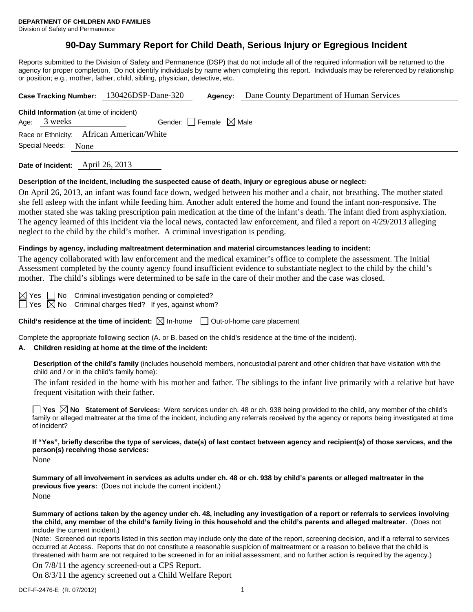# **90-Day Summary Report for Child Death, Serious Injury or Egregious Incident**

Reports submitted to the Division of Safety and Permanence (DSP) that do not include all of the required information will be returned to the agency for proper completion. Do not identify individuals by name when completing this report. Individuals may be referenced by relationship or position; e.g., mother, father, child, sibling, physician, detective, etc.

|                                                |                                                 |  | Case Tracking Number: 130426DSP-Dane-320 | Agency: | Dane County Department of Human Services |  |  |  |  |
|------------------------------------------------|-------------------------------------------------|--|------------------------------------------|---------|------------------------------------------|--|--|--|--|
| <b>Child Information</b> (at time of incident) |                                                 |  |                                          |         |                                          |  |  |  |  |
|                                                | Age: 3 weeks<br>Gender: Female $\boxtimes$ Male |  |                                          |         |                                          |  |  |  |  |
| Race or Ethnicity: African American/White      |                                                 |  |                                          |         |                                          |  |  |  |  |
| Special Needs: None                            |                                                 |  |                                          |         |                                          |  |  |  |  |
|                                                |                                                 |  |                                          |         |                                          |  |  |  |  |

**Date of Incident:** April 26, 2013

#### **Description of the incident, including the suspected cause of death, injury or egregious abuse or neglect:**

On April 26, 2013, an infant was found face down, wedged between his mother and a chair, not breathing. The mother stated she fell asleep with the infant while feeding him. Another adult entered the home and found the infant non-responsive. The mother stated she was taking prescription pain medication at the time of the infant's death. The infant died from asphyxiation. The agency learned of this incident via the local news, contacted law enforcement, and filed a report on 4/29/2013 alleging neglect to the child by the child's mother. A criminal investigation is pending.

#### **Findings by agency, including maltreatment determination and material circumstances leading to incident:**

The agency collaborated with law enforcement and the medical examiner's office to complete the assessment. The Initial Assessment completed by the county agency found insufficient evidence to substantiate neglect to the child by the child's mother. The child's siblings were determined to be safe in the care of their mother and the case was closed.

 $Yes \nightharpoonup No \nightharpoonup Criminal investigation pending or completed?$  $\Box$  Yes  $\boxtimes$  No Criminal charges filed? If yes, against whom?

**Child's residence at the time of incident:**  $\boxtimes$  In-home  $\Box$  Out-of-home care placement

Complete the appropriate following section (A. or B. based on the child's residence at the time of the incident).

#### **A. Children residing at home at the time of the incident:**

**Description of the child's family** (includes household members, noncustodial parent and other children that have visitation with the child and / or in the child's family home):

 The infant resided in the home with his mother and father. The siblings to the infant live primarily with a relative but have frequent visitation with their father.

**Yes No Statement of Services:** Were services under ch. 48 or ch. 938 being provided to the child, any member of the child's family or alleged maltreater at the time of the incident, including any referrals received by the agency or reports being investigated at time of incident?

# **If "Yes", briefly describe the type of services, date(s) of last contact between agency and recipient(s) of those services, and the person(s) receiving those services:**

None

**Summary of all involvement in services as adults under ch. 48 or ch. 938 by child's parents or alleged maltreater in the previous five years:** (Does not include the current incident.) None

**Summary of actions taken by the agency under ch. 48, including any investigation of a report or referrals to services involving the child, any member of the child's family living in this household and the child's parents and alleged maltreater.** (Does not include the current incident.)

(Note: Screened out reports listed in this section may include only the date of the report, screening decision, and if a referral to services occurred at Access. Reports that do not constitute a reasonable suspicion of maltreatment or a reason to believe that the child is threatened with harm are not required to be screened in for an initial assessment, and no further action is required by the agency.)

On 7/8/11 the agency screened-out a CPS Report.

On 8/3/11 the agency screened out a Child Welfare Report